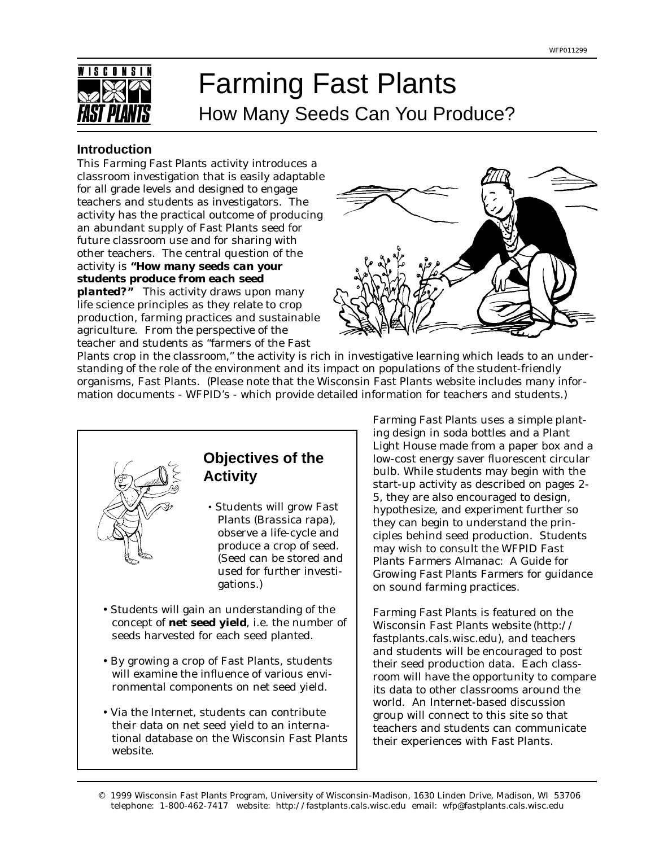

# Farming Fast Plants How Many Seeds Can You Produce?

#### **Introduction**

This *Farming Fast Plants* activity introduces a classroom investigation that is easily adaptable for all grade levels and designed to engage teachers and students as investigators. The activity has the practical outcome of producing an abundant supply of Fast Plants seed for future classroom use and for sharing with other teachers. The central question of the activity is *"How many seeds can your students produce from each seed planted?"* This activity draws upon many

life science principles as they relate to crop production, farming practices and sustainable agriculture. From the perspective of the teacher and students as "farmers of the Fast



Plants crop in the classroom," the activity is rich in investigative learning which leads to an understanding of the role of the environment and its impact on populations of the student-friendly organisms, Fast Plants. (Please note that the Wisconsin Fast Plants website includes many information documents - WFPID's - which provide detailed information for teachers and students.)



*Farming Fast Plants* uses a simple planting design in soda bottles and a Plant Light House made from a paper box and a low-cost energy saver fluorescent circular bulb. While students may begin with the start-up activity as described on pages 2- 5, they are also encouraged to design, hypothesize, and experiment further so they can begin to understand the principles behind seed production. Students may wish to consult the WFPID *Fast Plants Farmers Almanac: A Guide for Growing Fast Plants Farmers* for guidance on sound farming practices.

*Farming Fast Plants* is featured on the Wisconsin Fast Plants website (http:// fastplants.cals.wisc.edu), and teachers and students will be encouraged to post their seed production data. Each classroom will have the opportunity to compare its data to other classrooms around the world. An Internet-based discussion group will connect to this site so that teachers and students can communicate their experiences with Fast Plants.

<sup>© 1999</sup> Wisconsin Fast Plants Program, University of Wisconsin-Madison, 1630 Linden Drive, Madison, WI 53706 telephone: 1-800-462-7417 website: http://fastplants.cals.wisc.edu email: wfp@fastplants.cals.wisc.edu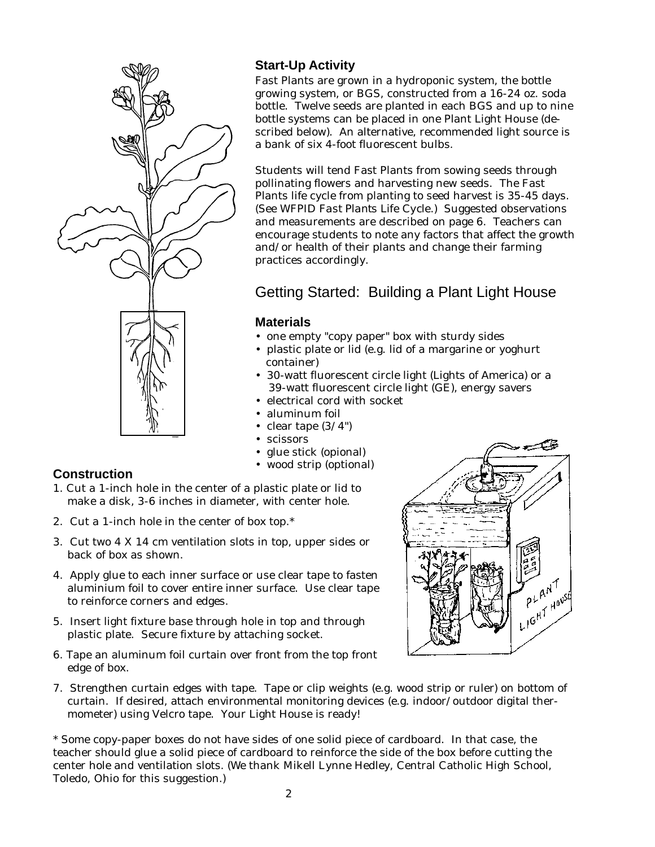

# **Start-Up Activity**

Fast Plants are grown in a hydroponic system, the bottle growing system, or BGS, constructed from a 16-24 oz. soda bottle. Twelve seeds are planted in each BGS and up to nine bottle systems can be placed in one Plant Light House (described below). An alternative, recommended light source is a bank of six 4-foot fluorescent bulbs.

Students will tend Fast Plants from sowing seeds through pollinating flowers and harvesting new seeds. The Fast Plants life cycle from planting to seed harvest is 35-45 days. (See WFPID *Fast Plants Life Cycle*.) Suggested observations and measurements are described on page 6. Teachers can encourage students to note any factors that affect the growth and/or health of their plants and change their farming practices accordingly.

# Getting Started: Building a Plant Light House

# **Materials**

- one empty "copy paper" box with sturdy sides
- plastic plate or lid (e.g. lid of a margarine or yoghurt container)
- 30-watt fluorescent circle light (Lights of America) or a 39-watt fluorescent circle light (GE), energy savers
- electrical cord with socket
- aluminum foil
- clear tape  $(3/4")$
- scissors
- glue stick (opional)
- wood strip (optional)

# **Construction**

- 1. Cut a 1-inch hole in the center of a plastic plate or lid to make a disk, 3-6 inches in diameter, with center hole.
- 2. Cut a 1-inch hole in the center of box top.\*
- 3. Cut two 4 X 14 cm ventilation slots in top, upper sides or back of box as shown.
- 4. Apply glue to each inner surface or use clear tape to fasten aluminium foil to cover entire inner surface. Use clear tape to reinforce corners and edges.
- 5. Insert light fixture base through hole in top and through plastic plate. Secure fixture by attaching socket.
- 6. Tape an aluminum foil curtain over front from the top front edge of box.
- 7. Strengthen curtain edges with tape. Tape or clip weights (e.g. wood strip or ruler) on bottom of curtain. If desired, attach environmental monitoring devices (e.g. indoor/outdoor digital thermometer) using Velcro tape. Your Light House is ready!

\* Some copy-paper boxes do not have sides of one solid piece of cardboard. In that case, the teacher should glue a solid piece of cardboard to reinforce the side of the box before cutting the center hole and ventilation slots. (We thank Mikell Lynne Hedley, Central Catholic High School, Toledo, Ohio for this suggestion.)

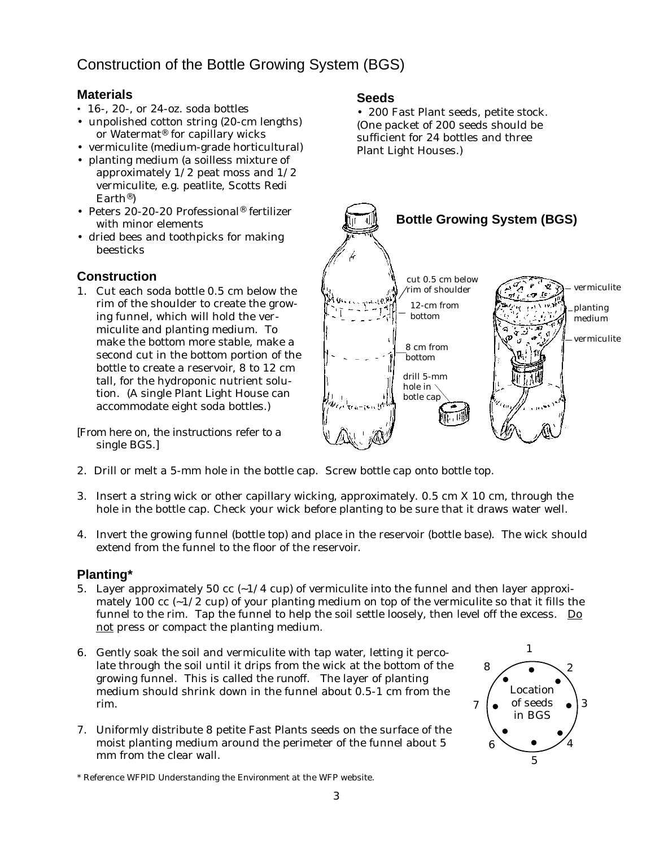# Construction of the Bottle Growing System (BGS)

# **Materials**

- 16-, 20-, or 24-oz. soda bottles
- unpolished cotton string (20-cm lengths) or Watermat® for capillary wicks
- vermiculite (medium-grade horticultural)
- planting medium (a soilless mixture of approximately 1/2 peat moss and 1/2 vermiculite, e.g. peatlite, Scotts Redi Earth®)
- Peters 20-20-20 Professional® fertilizer with minor elements
- dried bees and toothpicks for making beesticks

# **Construction**

1. Cut each soda bottle 0.5 cm below the rim of the shoulder to create the growing funnel, which will hold the vermiculite and planting medium. To make the bottom more stable, make a second cut in the bottom portion of the bottle to create a reservoir, 8 to 12 cm tall, for the hydroponic nutrient solution. (A single Plant Light House can accommodate eight soda bottles.)

*[From here on, the instructions refer to a single BGS.]*

- 2. Drill or melt a 5-mm hole in the bottle cap. Screw bottle cap onto bottle top.
- 3. Insert a string wick or other capillary wicking, approximately. 0.5 cm X 10 cm, through the hole in the bottle cap. Check your wick before planting to be sure that it draws water well.
- 4. Invert the growing funnel (bottle top) and place in the reservoir (bottle base). The wick should extend from the funnel to the floor of the reservoir.

## **Planting\***

- 5. Layer approximately 50 cc  $(-1/4 \text{ cup})$  of vermiculite into the funnel and then layer approximately 100 cc  $(-1/2$  cup) of your planting medium on top of the vermiculite so that it fills the funnel to the rim. Tap the funnel to help the soil settle loosely, then level off the excess.  $\Box$ not press or compact the planting medium.
- 6. Gently soak the soil and vermiculite with tap water, letting it percolate through the soil until it drips from the wick at the bottom of the growing funnel. This is called the *runoff*. The layer of planting medium should shrink down in the funnel about 0.5-1 cm from the rim.
- 7. Uniformly distribute 8 petite Fast Plants seeds on the surface of the moist planting medium around the perimeter of the funnel about 5 mm from the clear wall.

#### 5 6 1 2 4  $7 \mid \bullet \text{ of seeds } \bullet \mid 3$ 8 Location in BGS

\* Reference WFPID *Understanding the Environment* at the WFP website.

## **Seeds**

• 200 Fast Plant seeds, petite stock. (One packet of 200 seeds should be sufficient for 24 bottles and three Plant Light Houses.)

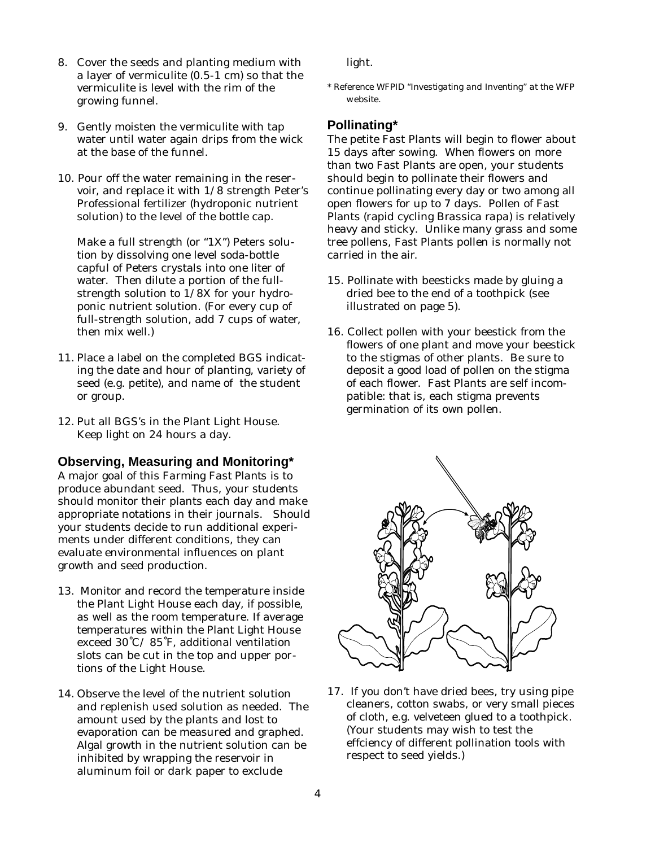- 8. Cover the seeds and planting medium with a layer of vermiculite (0.5-1 cm) so that the vermiculite is level with the rim of the growing funnel.
- 9. Gently moisten the vermiculite with tap water until water again drips from the wick at the base of the funnel.
- 10. Pour off the water remaining in the reservoir, and replace it with 1/8 strength Peter's Professional fertilizer (hydroponic nutrient solution) to the level of the bottle cap.

Make a full strength (or "1X") Peters solution by dissolving one level soda-bottle capful of Peters crystals into one liter of water. Then dilute a portion of the fullstrength solution to 1/8X for your hydroponic nutrient solution. (For every cup of full-strength solution, add 7 cups of water, then mix well.)

- 11. Place a label on the completed BGS indicating the date and hour of planting, variety of seed (e.g. petite), and name of the student or group.
- 12. Put all BGS's in the Plant Light House. Keep light on 24 hours a day.

#### **Observing, Measuring and Monitoring\***

A major goal of this *Farming Fast Plants* is to produce abundant seed. Thus, your students should monitor their plants each day and make appropriate notations in their journals. Should your students decide to run additional experiments under different conditions, they can evaluate environmental influences on plant growth and seed production.

- 13. Monitor and record the temperature inside the Plant Light House each day, if possible, as well as the room temperature. If average temperatures within the Plant Light House exceed 30˚C/ 85˚F, additional ventilation slots can be cut in the top and upper portions of the Light House.
- 14. Observe the level of the nutrient solution and replenish used solution as needed. The amount used by the plants and lost to evaporation can be measured and graphed. Algal growth in the nutrient solution can be inhibited by wrapping the reservoir in aluminum foil or dark paper to exclude

light.

*\* Reference WFPID "Investigating and Inventing" at the WFP website.*

#### **Pollinating\***

The petite Fast Plants will begin to flower about 15 days after sowing. When flowers on more than two Fast Plants are open, your students should begin to pollinate their flowers and continue pollinating every day or two among all open flowers for up to 7 days. Pollen of Fast Plants (rapid cycling *Brassica rapa*) is relatively heavy and sticky. Unlike many grass and some tree pollens, Fast Plants pollen is normally not carried in the air.

- 15. Pollinate with beesticks made by gluing a dried bee to the end of a toothpick (see illustrated on page 5).
- 16. Collect pollen with your beestick from the flowers of one plant and move your beestick to the stigmas of other plants. Be sure to deposit a good load of pollen on the stigma of each flower. Fast Plants are self incompatible: that is, each stigma prevents germination of its own pollen.



17. If you don't have dried bees, try using pipe cleaners, cotton swabs, or very small pieces of cloth, e.g. velveteen glued to a toothpick. (Your students may wish to test the effciency of different pollination tools with respect to seed yields.)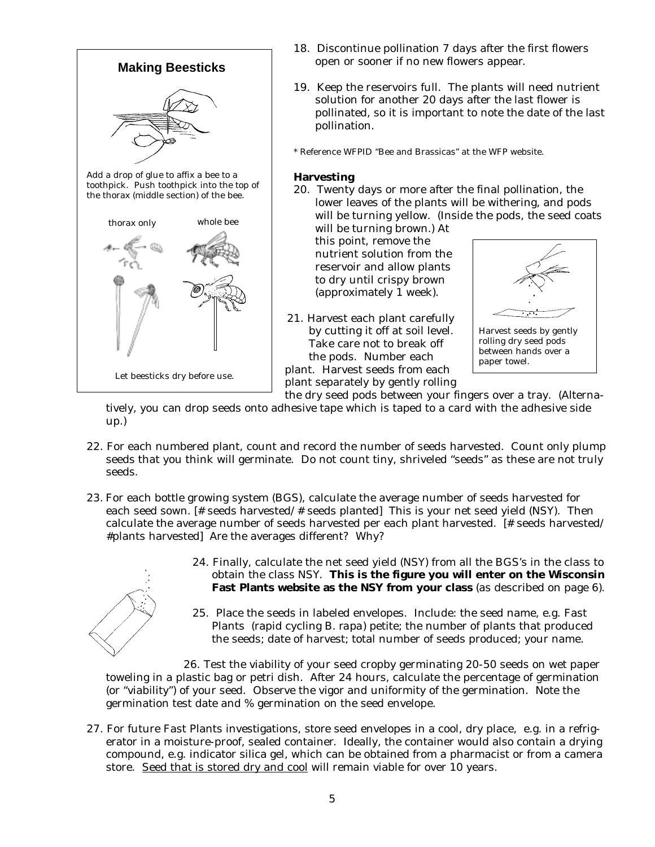

- 18. Discontinue pollination 7 days after the first flowers open or sooner if no new flowers appear.
- 19. Keep the reservoirs full. The plants will need nutrient solution for another 20 days after the last flower is pollinated, so it is important to note the date of the last pollination.
- \* Reference WFPID "Bee and Brassicas" at the WFP website.

#### **Harvesting**

20. Twenty days or more after the final pollination, the lower leaves of the plants will be withering, and pods will be turning yellow. (Inside the pods, the seed coats will be turning brown.) At

this point, remove the nutrient solution from the reservoir and allow plants to dry until crispy brown (approximately 1 week).

21. Harvest each plant carefully by cutting it off at soil level. Take care not to break off the pods. Number each plant. Harvest seeds from each plant separately by gently rolling



rolling dry seed pods between hands over a paper towel.

the dry seed pods between your fingers over a tray. (Alternatively, you can drop seeds onto adhesive tape which is taped to a card with the adhesive side up.)

- 22. For each numbered plant, count and record the number of seeds harvested. Count only plump seeds that you think will germinate. Do not count tiny, shriveled "seeds" as these are not truly seeds.
- 23. For each bottle growing system (BGS), calculate the average number of seeds harvested for each seed sown. [# seeds harvested/# seeds planted] This is your net seed yield (NSY). Then calculate the average number of seeds harvested per each plant harvested. [# seeds harvested/ #plants harvested] Are the averages different? Why?



- 24. Finally, calculate the net seed yield (NSY) from all the BGS's in the class to obtain the class NSY. **This is the figure you will enter on the Wisconsin Fast Plants website as the NSY from your class** (as described on page 6).
- 25. Place the seeds in labeled envelopes. Include: the seed name, e.g. Fast Plants (rapid cycling *B. rapa*) petite; the number of plants that produced the seeds; date of harvest; total number of seeds produced; your name.

26. Test the viability of your seed cropby germinating 20-50 seeds on wet paper toweling in a plastic bag or petri dish. After 24 hours, calculate the percentage of germination (or "viability") of your seed. Observe the vigor and uniformity of the germination. Note the germination test date and % germination on the seed envelope.

27. For future Fast Plants investigations, store seed envelopes in a cool, dry place, e.g. in a refrigerator in a moisture-proof, sealed container. Ideally, the container would also contain a drying compound, e.g. indicator silica gel, which can be obtained from a pharmacist or from a camera store. Seed that is stored dry and cool will remain viable for over 10 years.